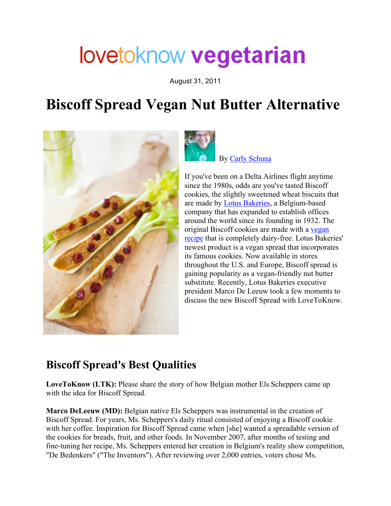# lovetoknow vegetarian

August 31, 2011

## **Biscoff Spread Vegan Nut Butter Alternative**





By Carly Schuna

If you've been on a Delta Airlines flight anytime since the 1980s, odds are you've tasted Biscoff cookies, the slightly sweetened wheat biscuits that are made by Lotus Bakeries, a Belgium-based company that has expanded to establish offices around the world since its founding in 1932. The original Biscoff cookies are made with a vegan recipe that is completely dairy-free. Lotus Bakeries' newest product is a vegan spread that incorporates its famous cookies. Now available in stores throughout the U.S. and Europe, Biscoff spread is gaining popularity as a vegan-friendly nut butter substitute. Recently, Lotus Bakeries executive president Marco De Leeuw took a few moments to discuss the new Biscoff Spread with LoveToKnow.

#### **Biscoff Spread's Best Qualities**

**LoveToKnow (LTK):** Please share the story of how Belgian mother Els Scheppers came up with the idea for Biscoff Spread.

**Marco DeLeeuw (MD):** Belgian native Els Scheppers was instrumental in the creation of Biscoff Spread. For years, Ms. Scheppers's daily ritual consisted of enjoying a Biscoff cookie with her coffee. Inspiration for Biscoff Spread came when [she] wanted a spreadable version of the cookies for breads, fruit, and other foods. In November 2007, after months of testing and fine-tuning her recipe, Ms. Scheppers entered her creation in Belgium's reality show competition, "De Bedenkers" ("The Inventors"). After reviewing over 2,000 entries, voters chose Ms.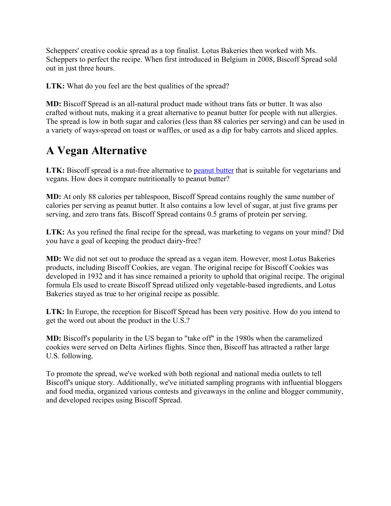Scheppers' creative cookie spread as a top finalist. Lotus Bakeries then worked with Ms. Scheppers to perfect the recipe. When first introduced in Belgium in 2008, Biscoff Spread sold out in just three hours.

LTK: What do you feel are the best qualities of the spread?

**MD:** Biscoff Spread is an all-natural product made without trans fats or butter. It was also crafted without nuts, making it a great alternative to peanut butter for people with nut allergies. The spread is low in both sugar and calories (less than 88 calories per serving) and can be used in a variety of ways-spread on toast or waffles, or used as a dip for baby carrots and sliced apples.

### **A Vegan Alternative**

LTK: Biscoff spread is a nut-free alternative to peanut butter that is suitable for vegetarians and vegans. How does it compare nutritionally to peanut butter?

**MD:** At only 88 calories per tablespoon, Biscoff Spread contains roughly the same number of calories per serving as peanut butter. It also contains a low level of sugar, at just five grams per serving, and zero trans fats. Biscoff Spread contains 0.5 grams of protein per serving.

**LTK:** As you refined the final recipe for the spread, was marketing to vegans on your mind? Did you have a goal of keeping the product dairy-free?

**MD:** We did not set out to produce the spread as a vegan item. However, most Lotus Bakeries products, including Biscoff Cookies, are vegan. The original recipe for Biscoff Cookies was developed in 1932 and it has since remained a priority to uphold that original recipe. The original formula Els used to create Biscoff Spread utilized only vegetable-based ingredients, and Lotus Bakeries stayed as true to her original recipe as possible.

**LTK:** In Europe, the reception for Biscoff Spread has been very positive. How do you intend to get the word out about the product in the U.S.?

**MD:** Biscoff's popularity in the US began to "take off" in the 1980s when the caramelized cookies were served on Delta Airlines flights. Since then, Biscoff has attracted a rather large U.S. following.

To promote the spread, we've worked with both regional and national media outlets to tell Biscoff's unique story. Additionally, we've initiated sampling programs with influential bloggers and food media, organized various contests and giveaways in the online and blogger community, and developed recipes using Biscoff Spread.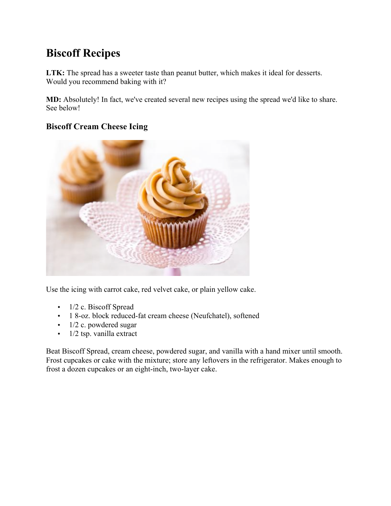## **Biscoff Recipes**

**LTK:** The spread has a sweeter taste than peanut butter, which makes it ideal for desserts. Would you recommend baking with it?

**MD:** Absolutely! In fact, we've created several new recipes using the spread we'd like to share. See below!

#### **Biscoff Cream Cheese Icing**



Use the icing with carrot cake, red velvet cake, or plain yellow cake.

- 1/2 c. Biscoff Spread
- 1 8-oz. block reduced-fat cream cheese (Neufchatel), softened
- 1/2 c. powdered sugar
- 1/2 tsp. vanilla extract

Beat Biscoff Spread, cream cheese, powdered sugar, and vanilla with a hand mixer until smooth. Frost cupcakes or cake with the mixture; store any leftovers in the refrigerator. Makes enough to frost a dozen cupcakes or an eight-inch, two-layer cake.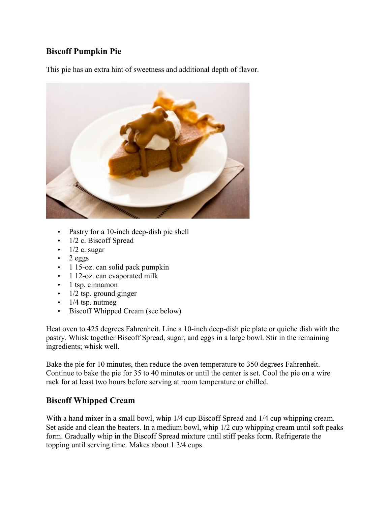#### **Biscoff Pumpkin Pie**

This pie has an extra hint of sweetness and additional depth of flavor.



- Pastry for a 10-inch deep-dish pie shell
- 1/2 c. Biscoff Spread
- $1/2$  c. sugar
- $\cdot$  2 eggs
- 1 15-oz. can solid pack pumpkin
- 1 12-oz. can evaporated milk
- 1 tsp. cinnamon
- $\cdot$  1/2 tsp. ground ginger
- $\cdot$  1/4 tsp. nutmeg
- Biscoff Whipped Cream (see below)

Heat oven to 425 degrees Fahrenheit. Line a 10-inch deep-dish pie plate or quiche dish with the pastry. Whisk together Biscoff Spread, sugar, and eggs in a large bowl. Stir in the remaining ingredients; whisk well.

Bake the pie for 10 minutes, then reduce the oven temperature to 350 degrees Fahrenheit. Continue to bake the pie for 35 to 40 minutes or until the center is set. Cool the pie on a wire rack for at least two hours before serving at room temperature or chilled.

#### **Biscoff Whipped Cream**

With a hand mixer in a small bowl, whip  $1/4$  cup Biscoff Spread and  $1/4$  cup whipping cream. Set aside and clean the beaters. In a medium bowl, whip 1/2 cup whipping cream until soft peaks form. Gradually whip in the Biscoff Spread mixture until stiff peaks form. Refrigerate the topping until serving time. Makes about 1 3/4 cups.